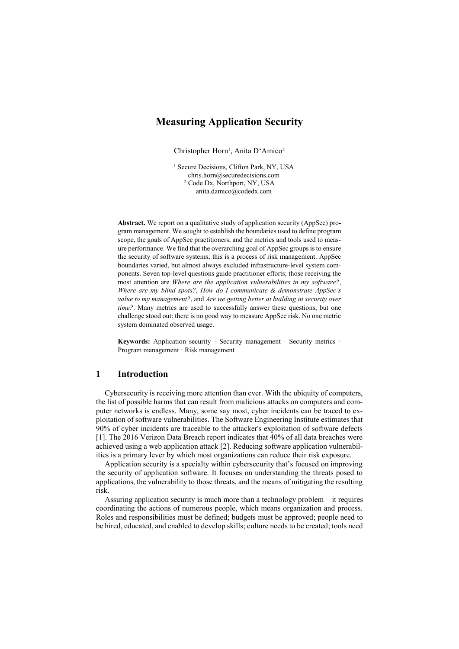# **Measuring Application Security**

Christopher Horn<sup>1</sup>, Anita D'Amico<sup>2</sup>

<sup>1</sup> Secure Decisions, Clifton Park, NY, USA [chris.horn@securedecisions.com](mailto:chris.horn@securedecisions.com) <sup>2</sup> Code Dx, Northport, NY, USA [anita.damico@codedx.com](mailto:anita.damico@codedx.com)

**Abstract.** We report on a qualitative study of application security (AppSec) program management. We sought to establish the boundaries used to define program scope, the goals of AppSec practitioners, and the metrics and tools used to measure performance. We find that the overarching goal of AppSec groups is to ensure the security of software systems; this is a process of risk management. AppSec boundaries varied, but almost always excluded infrastructure-level system components. Seven top-level questions guide practitioner efforts; those receiving the most attention are *Where are the application vulnerabilities in my software?*, *Where are my blind spots?*, *How do I communicate & demonstrate AppSec's value to my management?*, and *Are we getting better at building in security over time?*. Many metrics are used to successfully answer these questions, but one challenge stood out: there is no good way to measure AppSec risk. No one metric system dominated observed usage.

Keywords: Application security · Security management · Security metrics · Program management · Risk management

## **1 Introduction**

Cybersecurity is receiving more attention than ever. With the ubiquity of computers, the list of possible harms that can result from malicious attacks on computers and computer networks is endless. Many, some say most, cyber incidents can be traced to exploitation of software vulnerabilities. The Software Engineering Institute estimates that 90% of cyber incidents are traceable to the attacker's exploitation of software defects [1]. The 2016 Verizon Data Breach report indicates that 40% of all data breaches were achieved using a web application attack [2]. Reducing software application vulnerabilities is a primary lever by which most organizations can reduce their risk exposure.

Application security is a specialty within cybersecurity that's focused on improving the security of application software. It focuses on understanding the threats posed to applications, the vulnerability to those threats, and the means of mitigating the resulting risk.

Assuring application security is much more than a technology problem – it requires coordinating the actions of numerous people, which means organization and process. Roles and responsibilities must be defined; budgets must be approved; people need to be hired, educated, and enabled to develop skills; culture needs to be created; tools need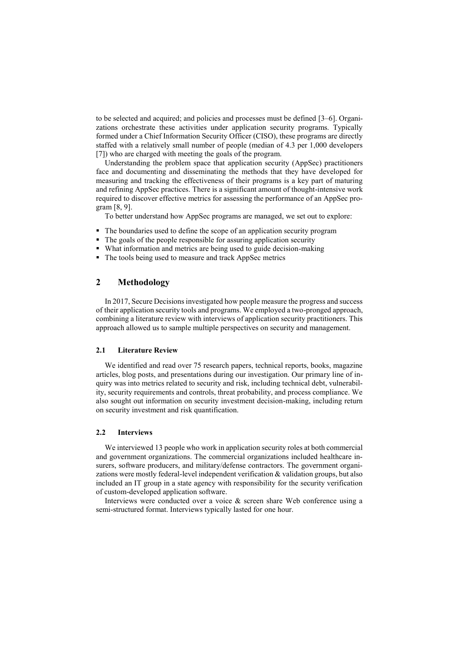to be selected and acquired; and policies and processes must be defined [3–6]. Organizations orchestrate these activities under application security programs. Typically formed under a Chief Information Security Officer (CISO), these programs are directly staffed with a relatively small number of people (median of 4.3 per 1,000 developers [7]) who are charged with meeting the goals of the program.

Understanding the problem space that application security (AppSec) practitioners face and documenting and disseminating the methods that they have developed for measuring and tracking the effectiveness of their programs is a key part of maturing and refining AppSec practices. There is a significant amount of thought-intensive work required to discover effective metrics for assessing the performance of an AppSec program [8, 9].

To better understand how AppSec programs are managed, we set out to explore:

- The boundaries used to define the scope of an application security program
- The goals of the people responsible for assuring application security
- What information and metrics are being used to guide decision-making
- The tools being used to measure and track AppSec metrics

# **2 Methodology**

In 2017, Secure Decisions investigated how people measure the progress and success of their application security tools and programs. We employed a two-pronged approach, combining a literature review with interviews of application security practitioners. This approach allowed us to sample multiple perspectives on security and management.

#### **2.1 Literature Review**

We identified and read over 75 research papers, technical reports, books, magazine articles, blog posts, and presentations during our investigation. Our primary line of inquiry was into metrics related to security and risk, including technical debt, vulnerability, security requirements and controls, threat probability, and process compliance. We also sought out information on security investment decision-making, including return on security investment and risk quantification.

#### **2.2 Interviews**

We interviewed 13 people who work in application security roles at both commercial and government organizations. The commercial organizations included healthcare insurers, software producers, and military/defense contractors. The government organizations were mostly federal-level independent verification & validation groups, but also included an IT group in a state agency with responsibility for the security verification of custom-developed application software.

Interviews were conducted over a voice & screen share Web conference using a semi-structured format. Interviews typically lasted for one hour.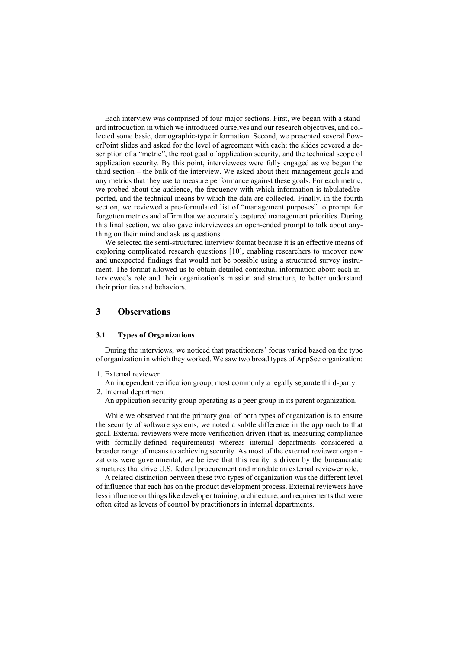Each interview was comprised of four major sections. First, we began with a standard introduction in which we introduced ourselves and our research objectives, and collected some basic, demographic-type information. Second, we presented several PowerPoint slides and asked for the level of agreement with each; the slides covered a description of a "metric", the root goal of application security, and the technical scope of application security. By this point, interviewees were fully engaged as we began the third section – the bulk of the interview. We asked about their management goals and any metrics that they use to measure performance against these goals. For each metric, we probed about the audience, the frequency with which information is tabulated/reported, and the technical means by which the data are collected. Finally, in the fourth section, we reviewed a pre-formulated list of "management purposes" to prompt for forgotten metrics and affirm that we accurately captured management priorities. During this final section, we also gave interviewees an open-ended prompt to talk about anything on their mind and ask us questions.

We selected the semi-structured interview format because it is an effective means of exploring complicated research questions [10], enabling researchers to uncover new and unexpected findings that would not be possible using a structured survey instrument. The format allowed us to obtain detailed contextual information about each interviewee's role and their organization's mission and structure, to better understand their priorities and behaviors.

## **3 Observations**

### **3.1 Types of Organizations**

During the interviews, we noticed that practitioners' focus varied based on the type of organization in which they worked. We saw two broad types of AppSec organization:

- 1. External reviewer
- An independent verification group, most commonly a legally separate third-party. 2. Internal department
- 

An application security group operating as a peer group in its parent organization.

While we observed that the primary goal of both types of organization is to ensure the security of software systems, we noted a subtle difference in the approach to that goal. External reviewers were more verification driven (that is, measuring compliance with formally-defined requirements) whereas internal departments considered a broader range of means to achieving security. As most of the external reviewer organizations were governmental, we believe that this reality is driven by the bureaucratic structures that drive U.S. federal procurement and mandate an external reviewer role.

A related distinction between these two types of organization was the different level of influence that each has on the product development process. External reviewers have less influence on things like developer training, architecture, and requirements that were often cited as levers of control by practitioners in internal departments.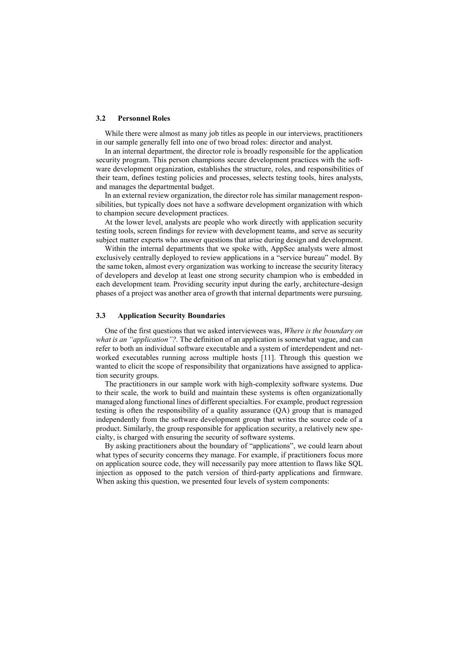#### **3.2 Personnel Roles**

While there were almost as many job titles as people in our interviews, practitioners in our sample generally fell into one of two broad roles: director and analyst.

In an internal department, the director role is broadly responsible for the application security program. This person champions secure development practices with the software development organization, establishes the structure, roles, and responsibilities of their team, defines testing policies and processes, selects testing tools, hires analysts, and manages the departmental budget.

In an external review organization, the director role has similar management responsibilities, but typically does not have a software development organization with which to champion secure development practices.

At the lower level, analysts are people who work directly with application security testing tools, screen findings for review with development teams, and serve as security subject matter experts who answer questions that arise during design and development.

Within the internal departments that we spoke with, AppSec analysts were almost exclusively centrally deployed to review applications in a "service bureau" model. By the same token, almost every organization was working to increase the security literacy of developers and develop at least one strong security champion who is embedded in each development team. Providing security input during the early, architecture-design phases of a project was another area of growth that internal departments were pursuing.

### **3.3 Application Security Boundaries**

One of the first questions that we asked interviewees was, *Where is the boundary on what is an "application"?.* The definition of an application is somewhat vague, and can refer to both an individual software executable and a system of interdependent and networked executables running across multiple hosts [11]. Through this question we wanted to elicit the scope of responsibility that organizations have assigned to application security groups.

The practitioners in our sample work with high-complexity software systems. Due to their scale, the work to build and maintain these systems is often organizationally managed along functional lines of different specialties. For example, product regression testing is often the responsibility of a quality assurance (QA) group that is managed independently from the software development group that writes the source code of a product. Similarly, the group responsible for application security, a relatively new specialty, is charged with ensuring the security of software systems.

By asking practitioners about the boundary of "applications", we could learn about what types of security concerns they manage. For example, if practitioners focus more on application source code, they will necessarily pay more attention to flaws like SQL injection as opposed to the patch version of third-party applications and firmware. When asking this question, we presented four levels of system components: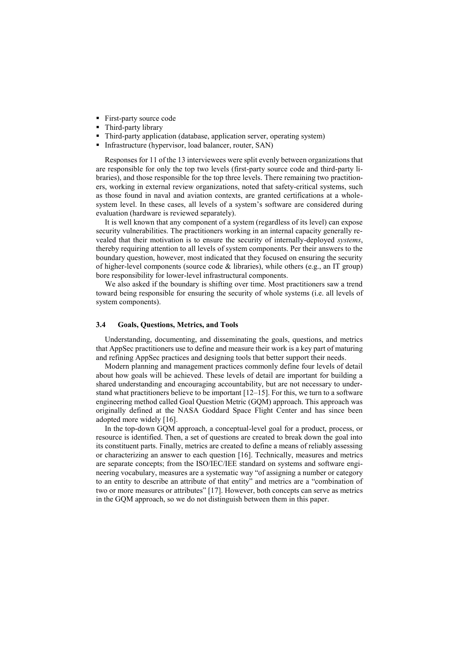- First-party source code
- Third-party library
- Third-party application (database, application server, operating system)
- **•** Infrastructure (hypervisor, load balancer, router, SAN)

Responses for 11 of the 13 interviewees were split evenly between organizations that are responsible for only the top two levels (first-party source code and third-party libraries), and those responsible for the top three levels. There remaining two practitioners, working in external review organizations, noted that safety-critical systems, such as those found in naval and aviation contexts, are granted certifications at a wholesystem level. In these cases, all levels of a system's software are considered during evaluation (hardware is reviewed separately).

It is well known that any component of a system (regardless of its level) can expose security vulnerabilities. The practitioners working in an internal capacity generally revealed that their motivation is to ensure the security of internally-deployed *systems*, thereby requiring attention to all levels of system components. Per their answers to the boundary question, however, most indicated that they focused on ensuring the security of higher-level components (source code & libraries), while others (e.g., an IT group) bore responsibility for lower-level infrastructural components.

We also asked if the boundary is shifting over time. Most practitioners saw a trend toward being responsible for ensuring the security of whole systems (i.e. all levels of system components).

### **3.4 Goals, Questions, Metrics, and Tools**

Understanding, documenting, and disseminating the goals, questions, and metrics that AppSec practitioners use to define and measure their work is a key part of maturing and refining AppSec practices and designing tools that better support their needs.

Modern planning and management practices commonly define four levels of detail about how goals will be achieved. These levels of detail are important for building a shared understanding and encouraging accountability, but are not necessary to understand what practitioners believe to be important [12–15]. For this, we turn to a software engineering method called Goal Question Metric (GQM) approach. This approach was originally defined at the NASA Goddard Space Flight Center and has since been adopted more widely [16].

In the top-down GQM approach, a conceptual-level goal for a product, process, or resource is identified. Then, a set of questions are created to break down the goal into its constituent parts. Finally, metrics are created to define a means of reliably assessing or characterizing an answer to each question [16]. Technically, measures and metrics are separate concepts; from the ISO/IEC/IEE standard on systems and software engineering vocabulary, measures are a systematic way "of assigning a number or category to an entity to describe an attribute of that entity" and metrics are a "combination of two or more measures or attributes" [17]. However, both concepts can serve as metrics in the GQM approach, so we do not distinguish between them in this paper.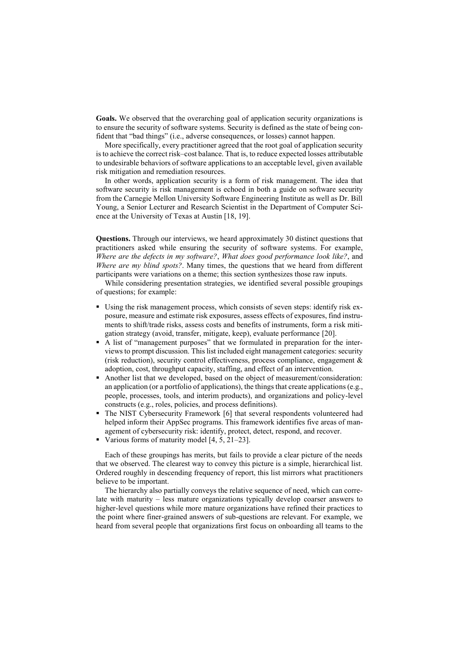**Goals.** We observed that the overarching goal of application security organizations is to ensure the security of software systems. Security is defined as the state of being confident that "bad things" (i.e., adverse consequences, or losses) cannot happen.

More specifically, every practitioner agreed that the root goal of application security is to achieve the correct risk–cost balance. That is, to reduce expected losses attributable to undesirable behaviors of software applications to an acceptable level, given available risk mitigation and remediation resources.

In other words, application security is a form of risk management. The idea that software security is risk management is echoed in both a guide on software security from the Carnegie Mellon University Software Engineering Institute as well as Dr. Bill Young, a Senior Lecturer and Research Scientist in the Department of Computer Science at the University of Texas at Austin [18, 19].

**Questions.** Through our interviews, we heard approximately 30 distinct questions that practitioners asked while ensuring the security of software systems. For example, *Where are the defects in my software?*, *What does good performance look like?*, and *Where are my blind spots?*. Many times, the questions that we heard from different participants were variations on a theme; this section synthesizes those raw inputs.

While considering presentation strategies, we identified several possible groupings of questions; for example:

- Using the risk management process, which consists of seven steps: identify risk exposure, measure and estimate risk exposures, assess effects of exposures, find instruments to shift/trade risks, assess costs and benefits of instruments, form a risk mitigation strategy (avoid, transfer, mitigate, keep), evaluate performance [20].
- A list of "management purposes" that we formulated in preparation for the interviews to prompt discussion. This list included eight management categories: security (risk reduction), security control effectiveness, process compliance, engagement & adoption, cost, throughput capacity, staffing, and effect of an intervention.
- Another list that we developed, based on the object of measurement/consideration: an application (or a portfolio of applications), the things that create applications (e.g., people, processes, tools, and interim products), and organizations and policy-level constructs (e.g., roles, policies, and process definitions).
- The NIST Cybersecurity Framework [6] that several respondents volunteered had helped inform their AppSec programs. This framework identifies five areas of management of cybersecurity risk: identify, protect, detect, respond, and recover.
- Various forms of maturity model  $[4, 5, 21-23]$ .

Each of these groupings has merits, but fails to provide a clear picture of the needs that we observed. The clearest way to convey this picture is a simple, hierarchical list. Ordered roughly in descending frequency of report, this list mirrors what practitioners believe to be important.

The hierarchy also partially conveys the relative sequence of need, which can correlate with maturity – less mature organizations typically develop coarser answers to higher-level questions while more mature organizations have refined their practices to the point where finer-grained answers of sub-questions are relevant. For example, we heard from several people that organizations first focus on onboarding all teams to the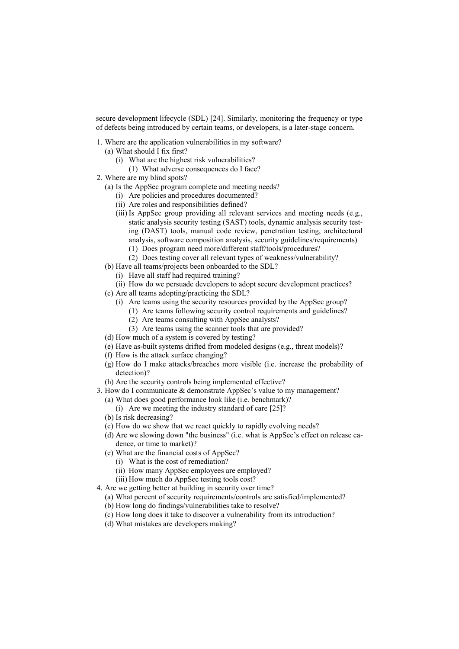secure development lifecycle (SDL) [24]. Similarly, monitoring the frequency or type of defects being introduced by certain teams, or developers, is a later-stage concern.

- 1. Where are the application vulnerabilities in my software?
	- (a) What should I fix first?
		- (i) What are the highest risk vulnerabilities?
			- (1) What adverse consequences do I face?
- 2. Where are my blind spots?
	- (a) Is the AppSec program complete and meeting needs?
		- (i) Are policies and procedures documented?
		- (ii) Are roles and responsibilities defined?
		- (iii) Is AppSec group providing all relevant services and meeting needs (e.g., static analysis security testing (SAST) tools, dynamic analysis security testing (DAST) tools, manual code review, penetration testing, architectural analysis, software composition analysis, security guidelines/requirements)
			- (1) Does program need more/different staff/tools/procedures?
		- (2) Does testing cover all relevant types of weakness/vulnerability?
	- (b) Have all teams/projects been onboarded to the SDL?
		- (i) Have all staff had required training?
	- (ii) How do we persuade developers to adopt secure development practices?
	- (c) Are all teams adopting/practicing the SDL?
		- (i) Are teams using the security resources provided by the AppSec group?
			- (1) Are teams following security control requirements and guidelines?
			- (2) Are teams consulting with AppSec analysts?
			- (3) Are teams using the scanner tools that are provided?
	- (d) How much of a system is covered by testing?
	- (e) Have as-built systems drifted from modeled designs (e.g., threat models)?
	- (f) How is the attack surface changing?
	- (g) How do I make attacks/breaches more visible (i.e. increase the probability of detection)?
	- (h) Are the security controls being implemented effective?
- 3. How do I communicate & demonstrate AppSec's value to my management?
	- (a) What does good performance look like (i.e. benchmark)?
		- (i) Are we meeting the industry standard of care [25]?
	- (b) Is risk decreasing?
	- (c) How do we show that we react quickly to rapidly evolving needs?
	- (d) Are we slowing down "the business" (i.e. what is AppSec's effect on release cadence, or time to market)?
	- (e) What are the financial costs of AppSec?
		- (i) What is the cost of remediation?
		- (ii) How many AppSec employees are employed?
		- (iii) How much do AppSec testing tools cost?
- 4. Are we getting better at building in security over time?
	- (a) What percent of security requirements/controls are satisfied/implemented?
	- (b) How long do findings/vulnerabilities take to resolve?
	- (c) How long does it take to discover a vulnerability from its introduction?
	- (d) What mistakes are developers making?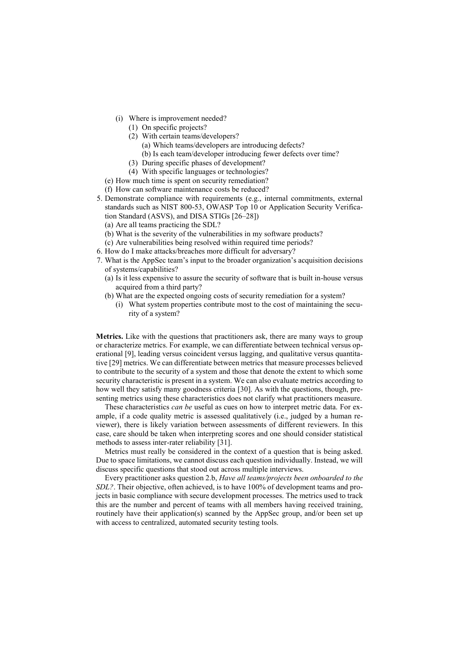- (i) Where is improvement needed?
	- (1) On specific projects?
	- (2) With certain teams/developers?
		- (a) Which teams/developers are introducing defects?
		- (b) Is each team/developer introducing fewer defects over time?
	- (3) During specific phases of development?
	- (4) With specific languages or technologies?
- (e) How much time is spent on security remediation?
- (f) How can software maintenance costs be reduced?
- 5. Demonstrate compliance with requirements (e.g., internal commitments, external standards such as NIST 800-53, OWASP Top 10 or Application Security Verification Standard (ASVS), and DISA STIGs [26–28])
	- (a) Are all teams practicing the SDL?
	- (b) What is the severity of the vulnerabilities in my software products?
- (c) Are vulnerabilities being resolved within required time periods?
- 6. How do I make attacks/breaches more difficult for adversary?
- 7. What is the AppSec team's input to the broader organization's acquisition decisions of systems/capabilities?
	- (a) Is it less expensive to assure the security of software that is built in-house versus acquired from a third party?
	- (b) What are the expected ongoing costs of security remediation for a system?
		- (i) What system properties contribute most to the cost of maintaining the security of a system?

**Metrics.** Like with the questions that practitioners ask, there are many ways to group or characterize metrics. For example, we can differentiate between technical versus operational [9], leading versus coincident versus lagging, and qualitative versus quantitative [29] metrics. We can differentiate between metrics that measure processes believed to contribute to the security of a system and those that denote the extent to which some security characteristic is present in a system. We can also evaluate metrics according to how well they satisfy many goodness criteria [30]. As with the questions, though, presenting metrics using these characteristics does not clarify what practitioners measure.

These characteristics *can be* useful as cues on how to interpret metric data. For example, if a code quality metric is assessed qualitatively (i.e., judged by a human reviewer), there is likely variation between assessments of different reviewers. In this case, care should be taken when interpreting scores and one should consider statistical methods to assess inter-rater reliability [31].

Metrics must really be considered in the context of a question that is being asked. Due to space limitations, we cannot discuss each question individually. Instead, we will discuss specific questions that stood out across multiple interviews.

Every practitioner asks question 2.b, *Have all teams/projects been onboarded to the SDL?*. Their objective, often achieved, is to have 100% of development teams and projects in basic compliance with secure development processes. The metrics used to track this are the number and percent of teams with all members having received training, routinely have their application(s) scanned by the AppSec group, and/or been set up with access to centralized, automated security testing tools.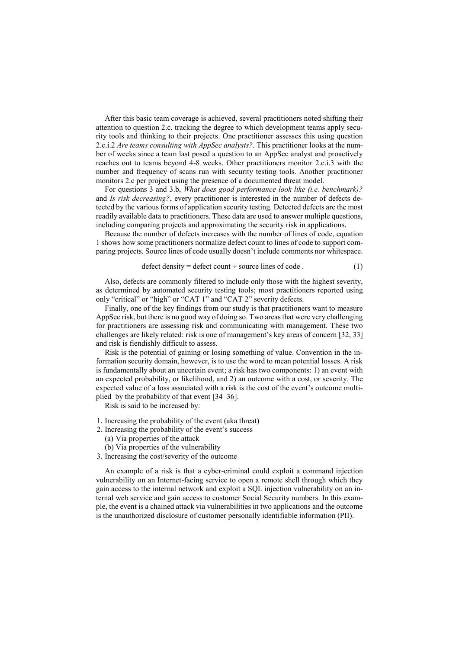After this basic team coverage is achieved, several practitioners noted shifting their attention to question 2.c, tracking the degree to which development teams apply security tools and thinking to their projects. One practitioner assesses this using question 2.c.i.2 *Are teams consulting with AppSec analysts?*. This practitioner looks at the number of weeks since a team last posed a question to an AppSec analyst and proactively reaches out to teams beyond 4-8 weeks. Other practitioners monitor 2.c.i.3 with the number and frequency of scans run with security testing tools. Another practitioner monitors 2.c per project using the presence of a documented threat model.

For questions 3 and 3.b, *What does good performance look like (i.e. benchmark)?* and *Is risk decreasing?*, every practitioner is interested in the number of defects detected by the various forms of application security testing. Detected defects are the most readily available data to practitioners. These data are used to answer multiple questions, including comparing projects and approximating the security risk in applications.

Because the number of defects increases with the number of lines of code, equation 1 shows how some practitioners normalize defect count to lines of code to support comparing projects. Source lines of code usually doesn't include comments nor whitespace.

$$
defect density = defect count \div source lines of code . \tag{1}
$$

Also, defects are commonly filtered to include only those with the highest severity, as determined by automated security testing tools; most practitioners reported using only "critical" or "high" or "CAT 1" and "CAT 2" severity defects.

Finally, one of the key findings from our study is that practitioners want to measure AppSec risk, but there is no good way of doing so. Two areas that were very challenging for practitioners are assessing risk and communicating with management. These two challenges are likely related: risk is one of management's key areas of concern [32, 33] and risk is fiendishly difficult to assess.

Risk is the potential of gaining or losing something of value. Convention in the information security domain, however, is to use the word to mean potential losses. A risk is fundamentally about an uncertain event; a risk has two components: 1) an event with an expected probability, or likelihood, and 2) an outcome with a cost, or severity. The expected value of a loss associated with a risk is the cost of the event's outcome multiplied by the probability of that event [34–36].

Risk is said to be increased by:

- 1. Increasing the probability of the event (aka threat)
- 2. Increasing the probability of the event's success
	- (a) Via properties of the attack
	- (b) Via properties of the vulnerability
- 3. Increasing the cost/severity of the outcome

An example of a risk is that a cyber-criminal could exploit a command injection vulnerability on an Internet-facing service to open a remote shell through which they gain access to the internal network and exploit a SQL injection vulnerability on an internal web service and gain access to customer Social Security numbers. In this example, the event is a chained attack via vulnerabilities in two applications and the outcome is the unauthorized disclosure of customer personally identifiable information (PII).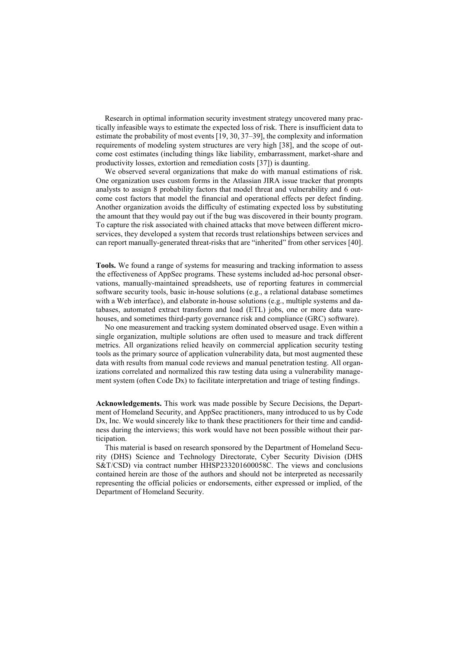Research in optimal information security investment strategy uncovered many practically infeasible ways to estimate the expected loss of risk. There is insufficient data to estimate the probability of most events [19, 30, 37–39], the complexity and information requirements of modeling system structures are very high [38], and the scope of outcome cost estimates (including things like liability, embarrassment, market-share and productivity losses, extortion and remediation costs [37]) is daunting.

We observed several organizations that make do with manual estimations of risk. One organization uses custom forms in the Atlassian JIRA issue tracker that prompts analysts to assign 8 probability factors that model threat and vulnerability and 6 outcome cost factors that model the financial and operational effects per defect finding. Another organization avoids the difficulty of estimating expected loss by substituting the amount that they would pay out if the bug was discovered in their bounty program. To capture the risk associated with chained attacks that move between different microservices, they developed a system that records trust relationships between services and can report manually-generated threat-risks that are "inherited" from other services [40].

**Tools.** We found a range of systems for measuring and tracking information to assess the effectiveness of AppSec programs. These systems included ad-hoc personal observations, manually-maintained spreadsheets, use of reporting features in commercial software security tools, basic in-house solutions (e.g., a relational database sometimes with a Web interface), and elaborate in-house solutions (e.g., multiple systems and databases, automated extract transform and load (ETL) jobs, one or more data warehouses, and sometimes third-party governance risk and compliance (GRC) software).

No one measurement and tracking system dominated observed usage. Even within a single organization, multiple solutions are often used to measure and track different metrics. All organizations relied heavily on commercial application security testing tools as the primary source of application vulnerability data, but most augmented these data with results from manual code reviews and manual penetration testing. All organizations correlated and normalized this raw testing data using a vulnerability management system (often Code Dx) to facilitate interpretation and triage of testing findings.

**Acknowledgements.** This work was made possible by Secure Decisions, the Department of Homeland Security, and AppSec practitioners, many introduced to us by Code Dx, Inc. We would sincerely like to thank these practitioners for their time and candidness during the interviews; this work would have not been possible without their participation.

This material is based on research sponsored by the Department of Homeland Security (DHS) Science and Technology Directorate, Cyber Security Division (DHS S&T/CSD) via contract number HHSP233201600058C. The views and conclusions contained herein are those of the authors and should not be interpreted as necessarily representing the official policies or endorsements, either expressed or implied, of the Department of Homeland Security.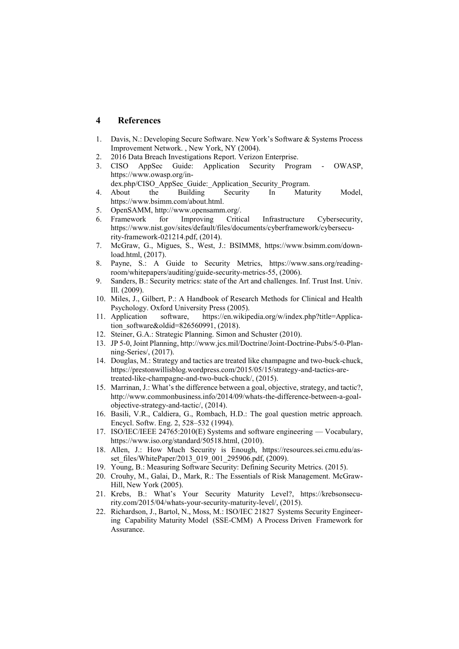## **4 References**

- 1. Davis, N.: Developing Secure Software. New York's Software & Systems Process Improvement Network. , New York, NY (2004).
- 2. 2016 Data Breach Investigations Report. Verizon Enterprise.
- 3. CISO AppSec Guide: Application Security Program OWASP, https://www.owasp.org/in-
- dex.php/CISO\_AppSec\_Guide:\_Application\_Security\_Program. 4. About the Building Security In Maturity Model, https://www.bsimm.com/about.html.
- 5. OpenSAMM, http://www.opensamm.org/.
- 6. Framework for Improving Critical Infrastructure Cybersecurity, https://www.nist.gov/sites/default/files/documents/cyberframework/cybersecurity-framework-021214.pdf, (2014).
- 7. McGraw, G., Migues, S., West, J.: BSIMM8, https://www.bsimm.com/download.html, (2017).
- 8. Payne, S.: A Guide to Security Metrics, https://www.sans.org/readingroom/whitepapers/auditing/guide-security-metrics-55, (2006).
- 9. Sanders, B.: Security metrics: state of the Art and challenges. Inf. Trust Inst. Univ. Ill. (2009).
- 10. Miles, J., Gilbert, P.: A Handbook of Research Methods for Clinical and Health Psychology. Oxford University Press (2005).
- 11. Application software, https://en.wikipedia.org/w/index.php?title=Application\_software&oldid=826560991, (2018).
- 12. Steiner, G.A.: Strategic Planning. Simon and Schuster (2010).
- 13. JP 5-0, Joint Planning, http://www.jcs.mil/Doctrine/Joint-Doctrine-Pubs/5-0-Planning-Series/, (2017).
- 14. Douglas, M.: Strategy and tactics are treated like champagne and two-buck-chuck, https://prestonwillisblog.wordpress.com/2015/05/15/strategy-and-tactics-aretreated-like-champagne-and-two-buck-chuck/, (2015).
- 15. Marrinan, J.: What's the difference between a goal, objective, strategy, and tactic?, http://www.commonbusiness.info/2014/09/whats-the-difference-between-a-goalobjective-strategy-and-tactic/, (2014).
- 16. Basili, V.R., Caldiera, G., Rombach, H.D.: The goal question metric approach. Encycl. Softw. Eng. 2, 528–532 (1994).
- 17. ISO/IEC/IEEE 24765:2010(E) Systems and software engineering Vocabulary, https://www.iso.org/standard/50518.html, (2010).
- 18. Allen, J.: How Much Security is Enough, https://resources.sei.cmu.edu/asset\_files/WhitePaper/2013\_019\_001\_295906.pdf, (2009).
- 19. Young, B.: Measuring Software Security: Defining Security Metrics. (2015).
- 20. Crouhy, M., Galai, D., Mark, R.: The Essentials of Risk Management. McGraw-Hill, New York (2005).
- 21. Krebs, B.: What's Your Security Maturity Level?, https://krebsonsecurity.com/2015/04/whats-your-security-maturity-level/, (2015).
- 22. Richardson, J., Bartol, N., Moss, M.: ISO/IEC 21827 Systems Security Engineering Capability Maturity Model (SSE-CMM) A Process Driven Framework for Assurance.